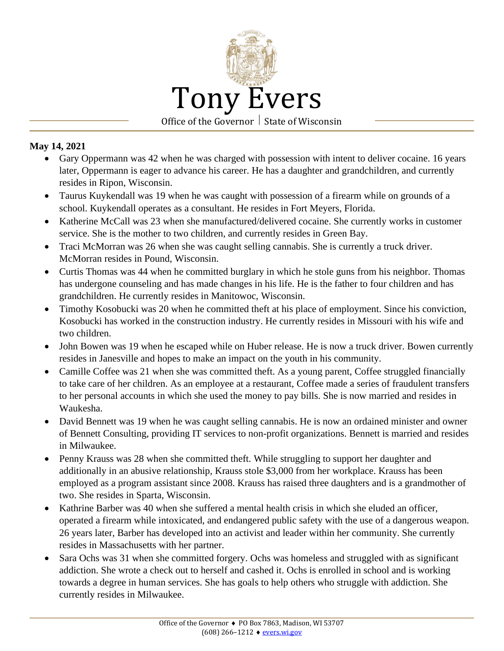

## **May 14, 2021**

- Gary Oppermann was 42 when he was charged with possession with intent to deliver cocaine. 16 years later, Oppermann is eager to advance his career. He has a daughter and grandchildren, and currently resides in Ripon, Wisconsin.
- Taurus Kuykendall was 19 when he was caught with possession of a firearm while on grounds of a school. Kuykendall operates as a consultant. He resides in Fort Meyers, Florida.
- Katherine McCall was 23 when she manufactured/delivered cocaine. She currently works in customer service. She is the mother to two children, and currently resides in Green Bay.
- Traci McMorran was 26 when she was caught selling cannabis. She is currently a truck driver. McMorran resides in Pound, Wisconsin.
- Curtis Thomas was 44 when he committed burglary in which he stole guns from his neighbor. Thomas has undergone counseling and has made changes in his life. He is the father to four children and has grandchildren. He currently resides in Manitowoc, Wisconsin.
- Timothy Kosobucki was 20 when he committed theft at his place of employment. Since his conviction, Kosobucki has worked in the construction industry. He currently resides in Missouri with his wife and two children.
- John Bowen was 19 when he escaped while on Huber release. He is now a truck driver. Bowen currently resides in Janesville and hopes to make an impact on the youth in his community.
- Camille Coffee was 21 when she was committed theft. As a young parent, Coffee struggled financially to take care of her children. As an employee at a restaurant, Coffee made a series of fraudulent transfers to her personal accounts in which she used the money to pay bills. She is now married and resides in Waukesha.
- David Bennett was 19 when he was caught selling cannabis. He is now an ordained minister and owner of Bennett Consulting, providing IT services to non-profit organizations. Bennett is married and resides in Milwaukee.
- Penny Krauss was 28 when she committed theft. While struggling to support her daughter and additionally in an abusive relationship, Krauss stole \$3,000 from her workplace. Krauss has been employed as a program assistant since 2008. Krauss has raised three daughters and is a grandmother of two. She resides in Sparta, Wisconsin.
- Kathrine Barber was 40 when she suffered a mental health crisis in which she eluded an officer, operated a firearm while intoxicated, and endangered public safety with the use of a dangerous weapon. 26 years later, Barber has developed into an activist and leader within her community. She currently resides in Massachusetts with her partner.
- Sara Ochs was 31 when she committed forgery. Ochs was homeless and struggled with as significant addiction. She wrote a check out to herself and cashed it. Ochs is enrolled in school and is working towards a degree in human services. She has goals to help others who struggle with addiction. She currently resides in Milwaukee.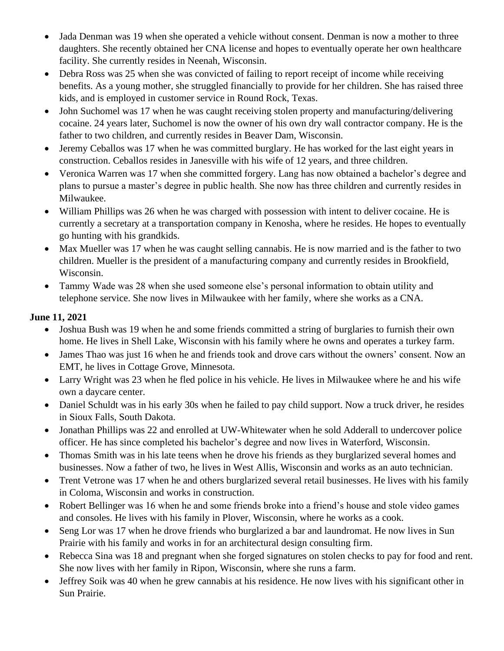- Jada Denman was 19 when she operated a vehicle without consent. Denman is now a mother to three daughters. She recently obtained her CNA license and hopes to eventually operate her own healthcare facility. She currently resides in Neenah, Wisconsin.
- Debra Ross was 25 when she was convicted of failing to report receipt of income while receiving benefits. As a young mother, she struggled financially to provide for her children. She has raised three kids, and is employed in customer service in Round Rock, Texas.
- John Suchomel was 17 when he was caught receiving stolen property and manufacturing/delivering cocaine. 24 years later, Suchomel is now the owner of his own dry wall contractor company. He is the father to two children, and currently resides in Beaver Dam, Wisconsin.
- Jeremy Ceballos was 17 when he was committed burglary. He has worked for the last eight years in construction. Ceballos resides in Janesville with his wife of 12 years, and three children.
- Veronica Warren was 17 when she committed forgery. Lang has now obtained a bachelor's degree and plans to pursue a master's degree in public health. She now has three children and currently resides in Milwaukee.
- William Phillips was 26 when he was charged with possession with intent to deliver cocaine. He is currently a secretary at a transportation company in Kenosha, where he resides. He hopes to eventually go hunting with his grandkids.
- Max Mueller was 17 when he was caught selling cannabis. He is now married and is the father to two children. Mueller is the president of a manufacturing company and currently resides in Brookfield, Wisconsin.
- Tammy Wade was 28 when she used someone else's personal information to obtain utility and telephone service. She now lives in Milwaukee with her family, where she works as a CNA.

## **June 11, 2021**

- Joshua Bush was 19 when he and some friends committed a string of burglaries to furnish their own home. He lives in Shell Lake, Wisconsin with his family where he owns and operates a turkey farm.
- James Thao was just 16 when he and friends took and drove cars without the owners' consent. Now an EMT, he lives in Cottage Grove, Minnesota.
- Larry Wright was 23 when he fled police in his vehicle. He lives in Milwaukee where he and his wife own a daycare center.
- Daniel Schuldt was in his early 30s when he failed to pay child support. Now a truck driver, he resides in Sioux Falls, South Dakota.
- Jonathan Phillips was 22 and enrolled at UW-Whitewater when he sold Adderall to undercover police officer. He has since completed his bachelor's degree and now lives in Waterford, Wisconsin.
- Thomas Smith was in his late teens when he drove his friends as they burglarized several homes and businesses. Now a father of two, he lives in West Allis, Wisconsin and works as an auto technician.
- Trent Vetrone was 17 when he and others burglarized several retail businesses. He lives with his family in Coloma, Wisconsin and works in construction.
- Robert Bellinger was 16 when he and some friends broke into a friend's house and stole video games and consoles. He lives with his family in Plover, Wisconsin, where he works as a cook.
- Seng Lor was 17 when he drove friends who burglarized a bar and laundromat. He now lives in Sun Prairie with his family and works in for an architectural design consulting firm.
- Rebecca Sina was 18 and pregnant when she forged signatures on stolen checks to pay for food and rent. She now lives with her family in Ripon, Wisconsin, where she runs a farm.
- Jeffrey Soik was 40 when he grew cannabis at his residence. He now lives with his significant other in Sun Prairie.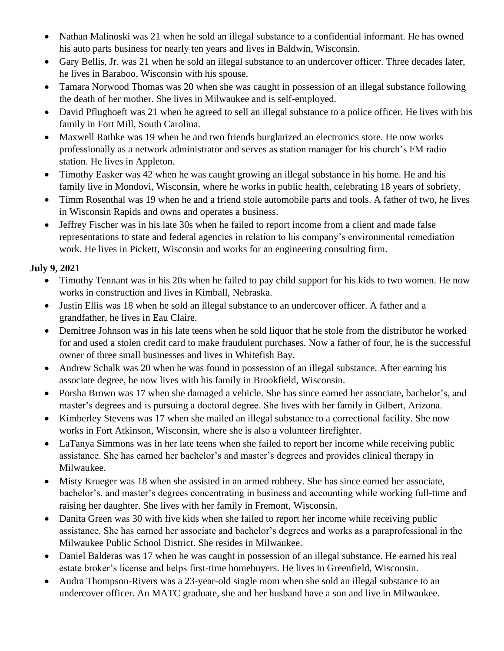- Nathan Malinoski was 21 when he sold an illegal substance to a confidential informant. He has owned his auto parts business for nearly ten years and lives in Baldwin, Wisconsin.
- Gary Bellis, Jr. was 21 when he sold an illegal substance to an undercover officer. Three decades later, he lives in Baraboo, Wisconsin with his spouse.
- Tamara Norwood Thomas was 20 when she was caught in possession of an illegal substance following the death of her mother. She lives in Milwaukee and is self-employed.
- David Pflughoeft was 21 when he agreed to sell an illegal substance to a police officer. He lives with his family in Fort Mill, South Carolina.
- Maxwell Rathke was 19 when he and two friends burglarized an electronics store. He now works professionally as a network administrator and serves as station manager for his church's FM radio station. He lives in Appleton.
- Timothy Easker was 42 when he was caught growing an illegal substance in his home. He and his family live in Mondovi, Wisconsin, where he works in public health, celebrating 18 years of sobriety.
- Timm Rosenthal was 19 when he and a friend stole automobile parts and tools. A father of two, he lives in Wisconsin Rapids and owns and operates a business.
- Jeffrey Fischer was in his late 30s when he failed to report income from a client and made false representations to state and federal agencies in relation to his company's environmental remediation work. He lives in Pickett, Wisconsin and works for an engineering consulting firm.

## **July 9, 2021**

- Timothy Tennant was in his 20s when he failed to pay child support for his kids to two women. He now works in construction and lives in Kimball, Nebraska.
- Justin Ellis was 18 when he sold an illegal substance to an undercover officer. A father and a grandfather, he lives in Eau Claire.
- Demitree Johnson was in his late teens when he sold liquor that he stole from the distributor he worked for and used a stolen credit card to make fraudulent purchases. Now a father of four, he is the successful owner of three small businesses and lives in Whitefish Bay.
- Andrew Schalk was 20 when he was found in possession of an illegal substance. After earning his associate degree, he now lives with his family in Brookfield, Wisconsin.
- Porsha Brown was 17 when she damaged a vehicle. She has since earned her associate, bachelor's, and master's degrees and is pursuing a doctoral degree. She lives with her family in Gilbert, Arizona.
- Kimberley Stevens was 17 when she mailed an illegal substance to a correctional facility. She now works in Fort Atkinson, Wisconsin, where she is also a volunteer firefighter.
- LaTanya Simmons was in her late teens when she failed to report her income while receiving public assistance. She has earned her bachelor's and master's degrees and provides clinical therapy in Milwaukee.
- Misty Krueger was 18 when she assisted in an armed robbery. She has since earned her associate, bachelor's, and master's degrees concentrating in business and accounting while working full-time and raising her daughter. She lives with her family in Fremont, Wisconsin.
- Danita Green was 30 with five kids when she failed to report her income while receiving public assistance. She has earned her associate and bachelor's degrees and works as a paraprofessional in the Milwaukee Public School District. She resides in Milwaukee.
- Daniel Balderas was 17 when he was caught in possession of an illegal substance. He earned his real estate broker's license and helps first-time homebuyers. He lives in Greenfield, Wisconsin.
- Audra Thompson-Rivers was a 23-year-old single mom when she sold an illegal substance to an undercover officer. An MATC graduate, she and her husband have a son and live in Milwaukee.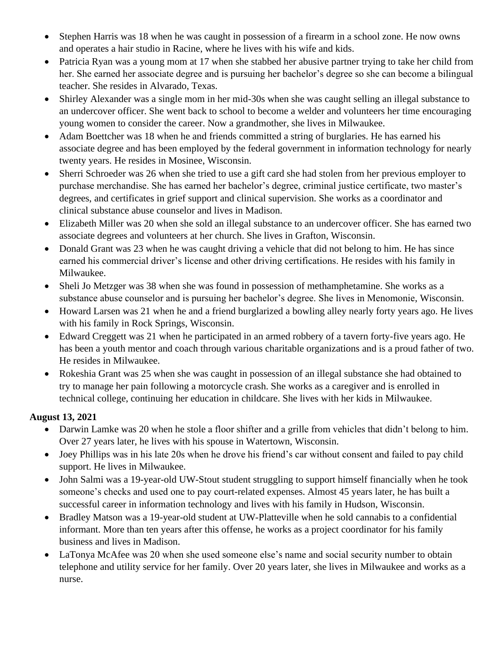- Stephen Harris was 18 when he was caught in possession of a firearm in a school zone. He now owns and operates a hair studio in Racine, where he lives with his wife and kids.
- Patricia Ryan was a young mom at 17 when she stabbed her abusive partner trying to take her child from her. She earned her associate degree and is pursuing her bachelor's degree so she can become a bilingual teacher. She resides in Alvarado, Texas.
- Shirley Alexander was a single mom in her mid-30s when she was caught selling an illegal substance to an undercover officer. She went back to school to become a welder and volunteers her time encouraging young women to consider the career. Now a grandmother, she lives in Milwaukee.
- Adam Boettcher was 18 when he and friends committed a string of burglaries. He has earned his associate degree and has been employed by the federal government in information technology for nearly twenty years. He resides in Mosinee, Wisconsin.
- Sherri Schroeder was 26 when she tried to use a gift card she had stolen from her previous employer to purchase merchandise. She has earned her bachelor's degree, criminal justice certificate, two master's degrees, and certificates in grief support and clinical supervision. She works as a coordinator and clinical substance abuse counselor and lives in Madison.
- Elizabeth Miller was 20 when she sold an illegal substance to an undercover officer. She has earned two associate degrees and volunteers at her church. She lives in Grafton, Wisconsin.
- Donald Grant was 23 when he was caught driving a vehicle that did not belong to him. He has since earned his commercial driver's license and other driving certifications. He resides with his family in Milwaukee.
- Sheli Jo Metzger was 38 when she was found in possession of methamphetamine. She works as a substance abuse counselor and is pursuing her bachelor's degree. She lives in Menomonie, Wisconsin.
- Howard Larsen was 21 when he and a friend burglarized a bowling alley nearly forty years ago. He lives with his family in Rock Springs, Wisconsin.
- Edward Creggett was 21 when he participated in an armed robbery of a tavern forty-five years ago. He has been a youth mentor and coach through various charitable organizations and is a proud father of two. He resides in Milwaukee.
- Rokeshia Grant was 25 when she was caught in possession of an illegal substance she had obtained to try to manage her pain following a motorcycle crash. She works as a caregiver and is enrolled in technical college, continuing her education in childcare. She lives with her kids in Milwaukee.

## **August 13, 2021**

- Darwin Lamke was 20 when he stole a floor shifter and a grille from vehicles that didn't belong to him. Over 27 years later, he lives with his spouse in Watertown, Wisconsin.
- Joey Phillips was in his late 20s when he drove his friend's car without consent and failed to pay child support. He lives in Milwaukee.
- John Salmi was a 19-year-old UW-Stout student struggling to support himself financially when he took someone's checks and used one to pay court-related expenses. Almost 45 years later, he has built a successful career in information technology and lives with his family in Hudson, Wisconsin.
- Bradley Matson was a 19-year-old student at UW-Platteville when he sold cannabis to a confidential informant. More than ten years after this offense, he works as a project coordinator for his family business and lives in Madison.
- LaTonya McAfee was 20 when she used someone else's name and social security number to obtain telephone and utility service for her family. Over 20 years later, she lives in Milwaukee and works as a nurse.